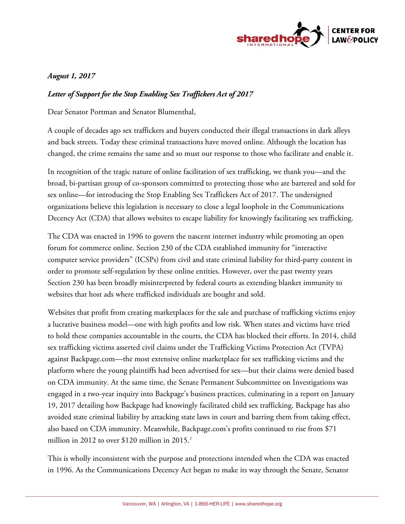

## *August 1, 2017*

## *Letter of Support for the Stop Enabling Sex Traffickers Act of 2017*

Dear Senator Portman and Senator Blumenthal,

A couple of decades ago sex traffickers and buyers conducted their illegal transactions in dark alleys and back streets. Today these criminal transactions have moved online. Although the location has changed, the crime remains the same and so must our response to those who facilitate and enable it.

In recognition of the tragic nature of online facilitation of sex trafficking, we thank you—and the broad, bi-partisan group of co-sponsors committed to protecting those who are bartered and sold for sex online—for introducing the Stop Enabling Sex Traffickers Act of 2017. The undersigned organizations believe this legislation is necessary to close a legal loophole in the Communications Decency Act (CDA) that allows websites to escape liability for knowingly facilitating sex trafficking.

The CDA was enacted in 1996 to govern the nascent internet industry while promoting an open forum for commerce online. Section 230 of the CDA established immunity for "interactive computer service providers" (ICSPs) from civil and state criminal liability for third-party content in order to promote self-regulation by these online entities. However, over the past twenty years Section 230 has been broadly misinterpreted by federal courts as extending blanket immunity to websites that host ads where trafficked individuals are bought and sold.

Websites that profit from creating marketplaces for the sale and purchase of trafficking victims enjoy a lucrative business model—one with high profits and low risk. When states and victims have tried to hold these companies accountable in the courts, the CDA has blocked their efforts. In 2014, child sex trafficking victims asserted civil claims under the Trafficking Victims Protection Act (TVPA) against Backpage.com—the most extensive online marketplace for sex trafficking victims and the platform where the young plaintiffs had been advertised for sex—but their claims were denied based on CDA immunity. At the same time, the Senate Permanent Subcommittee on Investigations was engaged in a two-year inquiry into Backpage's business practices, culminating in a report on January 19, 2017 detailing how Backpage had knowingly facilitated child sex trafficking. Backpage has also avoided state criminal liability by attacking state laws in court and barring them from taking effect, also based on CDA immunity. Meanwhile, Backpage.com's profits continued to rise from \$71 million in 2012 to over \$120 million in 2015.*<sup>1</sup>*

This is wholly inconsistent with the purpose and protections intended when the CDA was enacted in 1996. As the Communications Decency Act began to make its way through the Senate, Senator